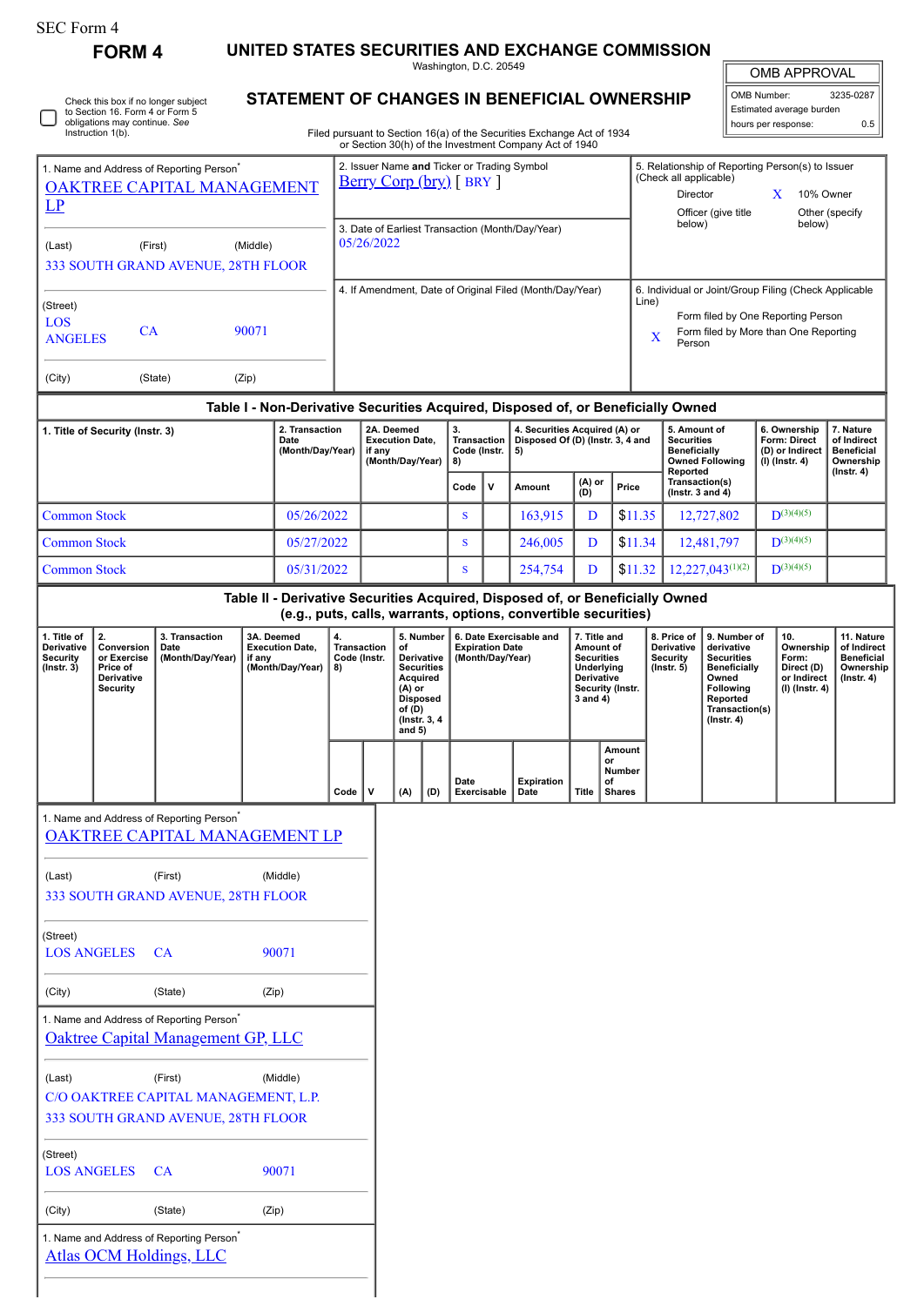# **FORM 4 UNITED STATES SECURITIES AND EXCHANGE COMMISSION**

Washington, D.C. 20549

| Check this box if no longer subject<br>to Section 16. Form 4 or Form 5<br>obligations may continue. See<br>Instruction 1(b). |
|------------------------------------------------------------------------------------------------------------------------------|
|------------------------------------------------------------------------------------------------------------------------------|

# **STATEMENT OF CHANGES IN BENEFICIAL OWNERSHIP**

Filed pursuant to Section 16(a) of the Securities Exchange Act of 1934 or Section 30(h) of the Investment Company Act of 1940

| <b>OMB APPROVAL</b>        |           |
|----------------------------|-----------|
| OMB Number:                | 3235-0287 |
| Fativented ouronous burden |           |

 $\parallel$ 

| Estimated average burden<br>hours per response: | 0.5 |
|-------------------------------------------------|-----|

| 1. Name and Address of Reporting Person <sup>®</sup><br>OAKTREE CAPITAL MANAGEMENT<br>LP                    |                                                                                                                                                                                           |                                                                                              |       | 2. Issuer Name and Ticker or Trading Symbol<br><u>Berry Corp (bry)</u> [BRY] |                                                                    |                                                          |                                                                                                                                   |          |                                                                       |                                    |                                                                         | 5. Relationship of Reporting Person(s) to Issuer<br>(Check all applicable)<br>Director<br>10% Owner<br>X<br>Other (specify<br>Officer (give title |               |                                                                                                                                                              |                                                     |                                                                                                                                                       |                                     |                                                                     |                                                                                 |  |
|-------------------------------------------------------------------------------------------------------------|-------------------------------------------------------------------------------------------------------------------------------------------------------------------------------------------|----------------------------------------------------------------------------------------------|-------|------------------------------------------------------------------------------|--------------------------------------------------------------------|----------------------------------------------------------|-----------------------------------------------------------------------------------------------------------------------------------|----------|-----------------------------------------------------------------------|------------------------------------|-------------------------------------------------------------------------|---------------------------------------------------------------------------------------------------------------------------------------------------|---------------|--------------------------------------------------------------------------------------------------------------------------------------------------------------|-----------------------------------------------------|-------------------------------------------------------------------------------------------------------------------------------------------------------|-------------------------------------|---------------------------------------------------------------------|---------------------------------------------------------------------------------|--|
| (First)<br>(Middle)<br>(Last)<br>333 SOUTH GRAND AVENUE, 28TH FLOOR                                         |                                                                                                                                                                                           |                                                                                              |       |                                                                              | 3. Date of Earliest Transaction (Month/Day/Year)<br>05/26/2022     |                                                          |                                                                                                                                   |          |                                                                       |                                    |                                                                         |                                                                                                                                                   |               | below)                                                                                                                                                       |                                                     |                                                                                                                                                       | below)                              |                                                                     |                                                                                 |  |
| (Street)<br>LOS<br><b>ANGELES</b>                                                                           |                                                                                                                                                                                           | CA<br>90071                                                                                  |       |                                                                              |                                                                    | 4. If Amendment, Date of Original Filed (Month/Day/Year) |                                                                                                                                   |          |                                                                       |                                    |                                                                         |                                                                                                                                                   |               | 6. Individual or Joint/Group Filing (Check Applicable<br>Line)<br>Form filed by One Reporting Person<br>Form filed by More than One Reporting<br>X<br>Person |                                                     |                                                                                                                                                       |                                     |                                                                     |                                                                                 |  |
| (City)                                                                                                      |                                                                                                                                                                                           | (State)                                                                                      | (Zip) |                                                                              |                                                                    |                                                          |                                                                                                                                   |          |                                                                       |                                    |                                                                         |                                                                                                                                                   |               |                                                                                                                                                              |                                                     |                                                                                                                                                       |                                     |                                                                     |                                                                                 |  |
|                                                                                                             |                                                                                                                                                                                           |                                                                                              |       |                                                                              |                                                                    |                                                          |                                                                                                                                   |          |                                                                       |                                    |                                                                         | Table I - Non-Derivative Securities Acquired, Disposed of, or Beneficially Owned                                                                  |               |                                                                                                                                                              |                                                     |                                                                                                                                                       |                                     |                                                                     |                                                                                 |  |
|                                                                                                             | 1. Title of Security (Instr. 3)                                                                                                                                                           |                                                                                              |       | 2. Transaction<br>Date<br>(Month/Day/Year)                                   | 2A. Deemed<br><b>Execution Date,</b><br>if any<br>(Month/Day/Year) |                                                          |                                                                                                                                   | 3.<br>8) |                                                                       | <b>Transaction</b><br>Code (Instr. | 4. Securities Acquired (A) or<br>Disposed Of (D) (Instr. 3, 4 and<br>5) |                                                                                                                                                   |               | 5. Amount of<br><b>Securities</b><br><b>Beneficially</b><br><b>Owned Following</b><br>Reported                                                               |                                                     |                                                                                                                                                       |                                     | 6. Ownership<br>Form: Direct<br>(D) or Indirect<br>$(I)$ (Instr. 4) | 7. Nature<br>of Indirect<br><b>Beneficial</b><br>Ownership<br>$($ Instr. 4 $)$  |  |
|                                                                                                             |                                                                                                                                                                                           |                                                                                              |       |                                                                              |                                                                    |                                                          |                                                                                                                                   |          | Code                                                                  |                                    | $\mathsf{v}$                                                            | Amount                                                                                                                                            | (A) or<br>(D) |                                                                                                                                                              | Price                                               | Transaction(s)<br>(Instr. 3 and $4$ )                                                                                                                 |                                     |                                                                     |                                                                                 |  |
| <b>Common Stock</b>                                                                                         |                                                                                                                                                                                           |                                                                                              |       | 05/26/2022<br>05/27/2022                                                     |                                                                    |                                                          |                                                                                                                                   |          | S<br>S                                                                |                                    |                                                                         | 163,915                                                                                                                                           | D             |                                                                                                                                                              | \$11.35<br>\$11.34                                  |                                                                                                                                                       | 12,727,802                          |                                                                     | $D^{(3)(4)(5)}$<br>$D^{(3)(4)(5)}$                                              |  |
| <b>Common Stock</b><br><b>Common Stock</b>                                                                  |                                                                                                                                                                                           |                                                                                              |       | 05/31/2022                                                                   |                                                                    |                                                          |                                                                                                                                   |          | S                                                                     |                                    |                                                                         | 246,005<br>254,754                                                                                                                                | D<br>D        |                                                                                                                                                              | \$11.32                                             |                                                                                                                                                       | 12,481,797<br>$12,227,043^{(1)(2)}$ |                                                                     | $D^{(3)(4)(5)}$                                                                 |  |
|                                                                                                             |                                                                                                                                                                                           |                                                                                              |       |                                                                              |                                                                    |                                                          |                                                                                                                                   |          |                                                                       |                                    |                                                                         | Table II - Derivative Securities Acquired, Disposed of, or Beneficially Owned                                                                     |               |                                                                                                                                                              |                                                     |                                                                                                                                                       |                                     |                                                                     |                                                                                 |  |
|                                                                                                             |                                                                                                                                                                                           |                                                                                              |       |                                                                              |                                                                    |                                                          |                                                                                                                                   |          |                                                                       |                                    |                                                                         | (e.g., puts, calls, warrants, options, convertible securities)                                                                                    |               |                                                                                                                                                              |                                                     |                                                                                                                                                       |                                     |                                                                     |                                                                                 |  |
| 1. Title of<br>Derivative<br><b>Security</b><br>$($ Instr. 3 $)$                                            | 2.<br>3. Transaction<br>3A. Deemed<br>Conversion<br><b>Execution Date,</b><br>Date<br>(Month/Day/Year)<br>or Exercise<br>if any<br>(Month/Day/Year)<br>Price of<br>Derivative<br>Security |                                                                                              |       | 4.<br><b>Transaction</b><br>Code (Instr.<br>8)                               |                                                                    |                                                          | 5. Number<br>of<br>Derivative<br><b>Securities</b><br>Acquired<br>(A) or<br><b>Disposed</b><br>of (D)<br>(Instr. 3, 4<br>and $5)$ |          | 6. Date Exercisable and<br><b>Expiration Date</b><br>(Month/Day/Year) |                                    |                                                                         | 7. Title and<br>Amount of<br><b>Securities</b><br>Underlying<br><b>Derivative</b><br>Security (Instr.<br>3 and 4)                                 |               |                                                                                                                                                              | 8. Price of<br>Derivative<br>Security<br>(Instr. 5) | 9. Number of<br>derivative<br><b>Securities</b><br><b>Beneficially</b><br>Owned<br><b>Following</b><br>Reported<br>Transaction(s)<br>$($ Instr. 4 $)$ | 10.                                 | Ownership<br>Form:<br>Direct (D)<br>or Indirect<br>(I) (Instr. 4)   | 11. Nature<br>of Indirect<br><b>Beneficial</b><br>Ownership<br>$($ lnstr. 4 $)$ |  |
|                                                                                                             |                                                                                                                                                                                           |                                                                                              |       |                                                                              | Code                                                               | $\mathsf{v}$                                             | (A)                                                                                                                               | (D)      | Date                                                                  |                                    | Exercisable                                                             | Expiration<br>Date                                                                                                                                | <b>Title</b>  | Amount<br>or<br>Number<br>of<br><b>Shares</b>                                                                                                                |                                                     |                                                                                                                                                       |                                     |                                                                     |                                                                                 |  |
|                                                                                                             |                                                                                                                                                                                           | 1. Name and Address of Reporting Person <sup>®</sup><br><b>OAKTREE CAPITAL MANAGEMENT LP</b> |       |                                                                              |                                                                    |                                                          |                                                                                                                                   |          |                                                                       |                                    |                                                                         |                                                                                                                                                   |               |                                                                                                                                                              |                                                     |                                                                                                                                                       |                                     |                                                                     |                                                                                 |  |
| (Last)                                                                                                      |                                                                                                                                                                                           | (First)<br>333 SOUTH GRAND AVENUE, 28TH FLOOR                                                |       | (Middle)                                                                     |                                                                    |                                                          |                                                                                                                                   |          |                                                                       |                                    |                                                                         |                                                                                                                                                   |               |                                                                                                                                                              |                                                     |                                                                                                                                                       |                                     |                                                                     |                                                                                 |  |
| (Street)<br><b>LOS ANGELES</b>                                                                              |                                                                                                                                                                                           | CA                                                                                           |       | 90071                                                                        |                                                                    |                                                          |                                                                                                                                   |          |                                                                       |                                    |                                                                         |                                                                                                                                                   |               |                                                                                                                                                              |                                                     |                                                                                                                                                       |                                     |                                                                     |                                                                                 |  |
| (City)                                                                                                      |                                                                                                                                                                                           | (State)                                                                                      | (Zip) |                                                                              |                                                                    |                                                          |                                                                                                                                   |          |                                                                       |                                    |                                                                         |                                                                                                                                                   |               |                                                                                                                                                              |                                                     |                                                                                                                                                       |                                     |                                                                     |                                                                                 |  |
|                                                                                                             |                                                                                                                                                                                           | 1. Name and Address of Reporting Person <sup>*</sup><br>Oaktree Capital Management GP, LLC   |       |                                                                              |                                                                    |                                                          |                                                                                                                                   |          |                                                                       |                                    |                                                                         |                                                                                                                                                   |               |                                                                                                                                                              |                                                     |                                                                                                                                                       |                                     |                                                                     |                                                                                 |  |
| (First)<br>(Last)<br>(Middle)<br>C/O OAKTREE CAPITAL MANAGEMENT, L.P.<br>333 SOUTH GRAND AVENUE, 28TH FLOOR |                                                                                                                                                                                           |                                                                                              |       |                                                                              |                                                                    |                                                          |                                                                                                                                   |          |                                                                       |                                    |                                                                         |                                                                                                                                                   |               |                                                                                                                                                              |                                                     |                                                                                                                                                       |                                     |                                                                     |                                                                                 |  |
| (Street)<br><b>LOS ANGELES</b>                                                                              |                                                                                                                                                                                           | <b>CA</b>                                                                                    |       | 90071                                                                        |                                                                    |                                                          |                                                                                                                                   |          |                                                                       |                                    |                                                                         |                                                                                                                                                   |               |                                                                                                                                                              |                                                     |                                                                                                                                                       |                                     |                                                                     |                                                                                 |  |
| (City)                                                                                                      |                                                                                                                                                                                           | (State)                                                                                      | (Zip) |                                                                              |                                                                    |                                                          |                                                                                                                                   |          |                                                                       |                                    |                                                                         |                                                                                                                                                   |               |                                                                                                                                                              |                                                     |                                                                                                                                                       |                                     |                                                                     |                                                                                 |  |
|                                                                                                             |                                                                                                                                                                                           | 1. Name and Address of Reporting Person                                                      |       |                                                                              |                                                                    |                                                          |                                                                                                                                   |          |                                                                       |                                    |                                                                         |                                                                                                                                                   |               |                                                                                                                                                              |                                                     |                                                                                                                                                       |                                     |                                                                     |                                                                                 |  |

[Atlas OCM Holdings, LLC](http://www.sec.gov/cgi-bin/browse-edgar?action=getcompany&CIK=0001790787)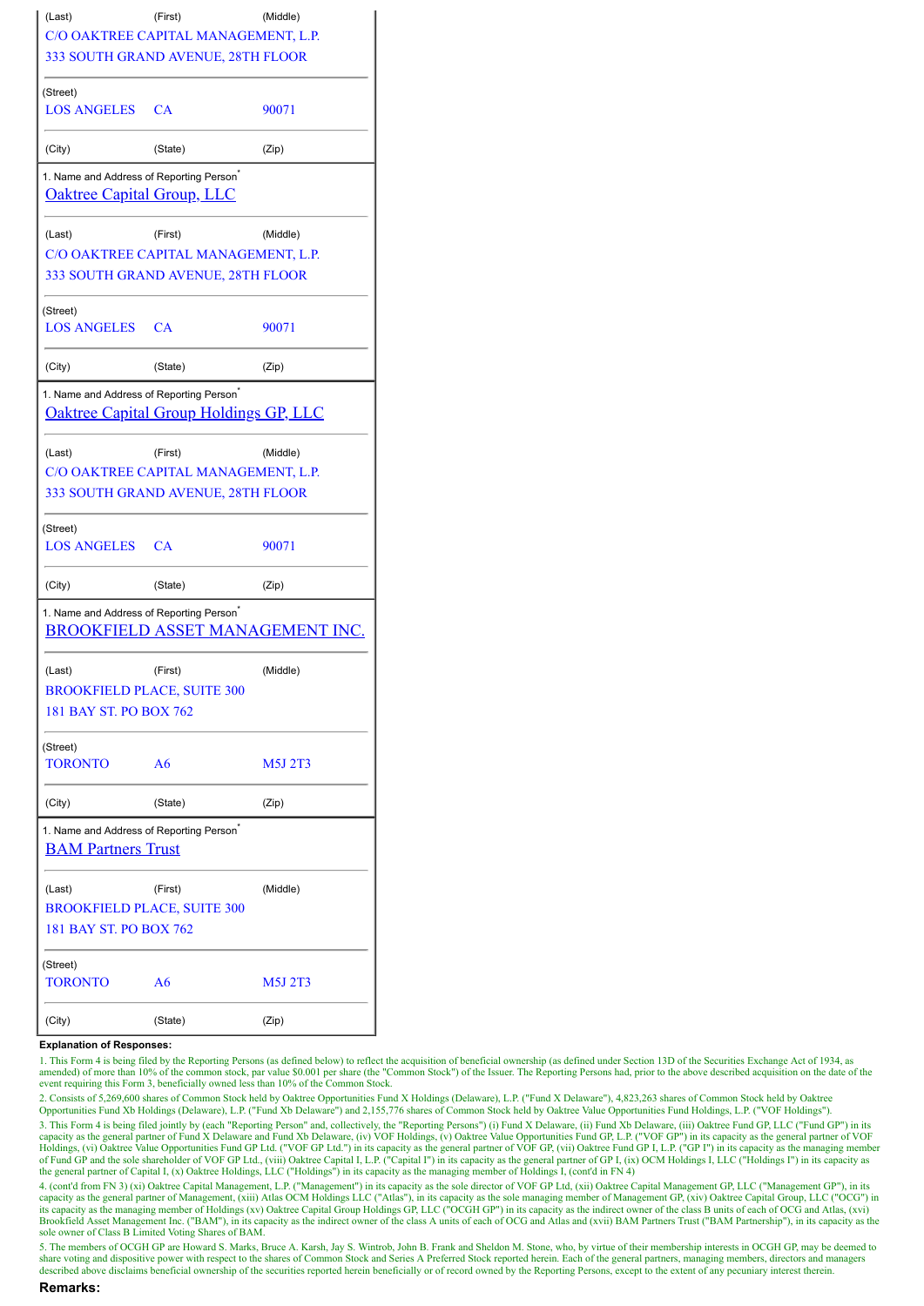| (Last)                                                                                    | (First)                                       | (Middle) |  |  |  |  |  |
|-------------------------------------------------------------------------------------------|-----------------------------------------------|----------|--|--|--|--|--|
|                                                                                           | C/O OAKTREE CAPITAL MANAGEMENT, L.P.          |          |  |  |  |  |  |
|                                                                                           | 333 SOUTH GRAND AVENUE, 28TH FLOOR            |          |  |  |  |  |  |
| (Street)                                                                                  |                                               |          |  |  |  |  |  |
| <b>LOS ANGELES CA</b>                                                                     |                                               | 90071    |  |  |  |  |  |
| (City)                                                                                    | (State)                                       | (Zip)    |  |  |  |  |  |
| 1. Name and Address of Reporting Person <sup>*</sup><br><b>Oaktree Capital Group, LLC</b> |                                               |          |  |  |  |  |  |
| (Last)                                                                                    | (First)                                       | (Middle) |  |  |  |  |  |
|                                                                                           | C/O OAKTREE CAPITAL MANAGEMENT, L.P.          |          |  |  |  |  |  |
|                                                                                           | 333 SOUTH GRAND AVENUE, 28TH FLOOR            |          |  |  |  |  |  |
| (Street)<br>LOS ANGELES CA                                                                |                                               | 90071    |  |  |  |  |  |
| (City)                                                                                    | (State)                                       | (Zip)    |  |  |  |  |  |
| 1. Name and Address of Reporting Person <sup>®</sup>                                      |                                               |          |  |  |  |  |  |
|                                                                                           | <b>Oaktree Capital Group Holdings GP, LLC</b> |          |  |  |  |  |  |
| (Last)                                                                                    | (First)                                       | (Middle) |  |  |  |  |  |
|                                                                                           | C/O OAKTREE CAPITAL MANAGEMENT, L.P.          |          |  |  |  |  |  |
|                                                                                           | 333 SOUTH GRAND AVENUE, 28TH FLOOR            |          |  |  |  |  |  |
| (Street)<br><b>LOS ANGELES</b>                                                            | CA                                            | 90071    |  |  |  |  |  |
| (City)                                                                                    | (State)                                       | (Zip)    |  |  |  |  |  |
| 1. Name and Address of Reporting Person <sup>®</sup>                                      | <b>BROOKFIELD ASSET MANAGEMENT INC</b>        |          |  |  |  |  |  |
| (Last)                                                                                    | (First)                                       | (Middle) |  |  |  |  |  |
| <b>BROOKFIELD PLACE, SUITE 300</b>                                                        |                                               |          |  |  |  |  |  |
| 181 BAY ST. PO BOX 762                                                                    |                                               |          |  |  |  |  |  |
| (Street)                                                                                  |                                               |          |  |  |  |  |  |
| TORONTO                                                                                   | A6                                            | M5J 2T3  |  |  |  |  |  |
| (City)                                                                                    | (State)                                       | (Zip)    |  |  |  |  |  |
| 1. Name and Address of Reporting Person <sup>®</sup><br><b>BAM Partners Trust</b>         |                                               |          |  |  |  |  |  |
| (Last)                                                                                    | (First)                                       | (Middle) |  |  |  |  |  |
| <b>BROOKFIELD PLACE, SUITE 300</b>                                                        |                                               |          |  |  |  |  |  |
| 181 BAY ST. PO BOX 762                                                                    |                                               |          |  |  |  |  |  |
| (Street)                                                                                  |                                               |          |  |  |  |  |  |
| TORONTO                                                                                   | A6                                            | M5J 2T3  |  |  |  |  |  |
| (City)                                                                                    | (State)                                       | (Zip)    |  |  |  |  |  |

#### **Explanation of Responses:**

1. This Form 4 is being filed by the Reporting Persons (as defined below) to reflect the acquisition of beneficial ownership (as defined under Section 13D of the Securities Exchange Act of 1934, as amended) of more than 10% of the common stock, par value \$0.001 per share (the "Common Stock") of the Issuer. The Reporting Persons had, prior to the above described acquisition on the date of the event requiring this Form

2. Consists of 5,269,600 shares of Common Stock held by Oaktree Opportunities Fund X Holdings (Delaware), L.P. ("Fund X Delaware"), 4,823,263 shares of Common Stock held by Oaktree<br>Opportunities Fund Xb Holdings (Delaware)

3. This Form 4 is being filed jointly by (each "Reporting Person" and, collectively, the "Reporting Persons") (i) Fund X Delaware, (ii) Fund Xb Delaware, (iii) Oaktree Fund GP, L.L.C ("Fund GP") in its capacity as the gene

4. (cont'd from FN 3) (xi) Oaktree Capital Management, L.P. ("Management") in its capacity as the sole director of VOF GP Ltd, (xii) Oaktree Capital Management GP, LLC ("Management GP"), in its capacity as the general part its capacity as the managing member of Holdings (xv) Oaktree Capital Group Holdings GP, LLC ("OCGH GP") in its capacity as the indirect owner of the class B units of each of OCG and Atlas, (xvi) Brookfield Asset Management Inc. ("BAM"), in its capacity as the indirect owner of the class A units of each of OCG and Atlas and (xvii) BAM Partners Trust ("BAM Partnership"), in its capacity as the<br>sole owner of Class B

5. The members of OCGH GP are Howard S. Marks, Bruce A. Karsh, Jay S. Wintrob, John B. Frank and Sheldon M. Stone, who, by virtue of their membership interests in OCGH GP, may be deemed to share voting and dispositive power with respect to the shares of Common Stock and Series A Preferred Stock reported herein. Each of the general partners, managing members, directors and managers described above disclaims beneficial ownership of the securities reported herein beneficially or of record owned by the Reporting Persons, except to the extent of any pecuniary interest therein.

#### **Remarks:**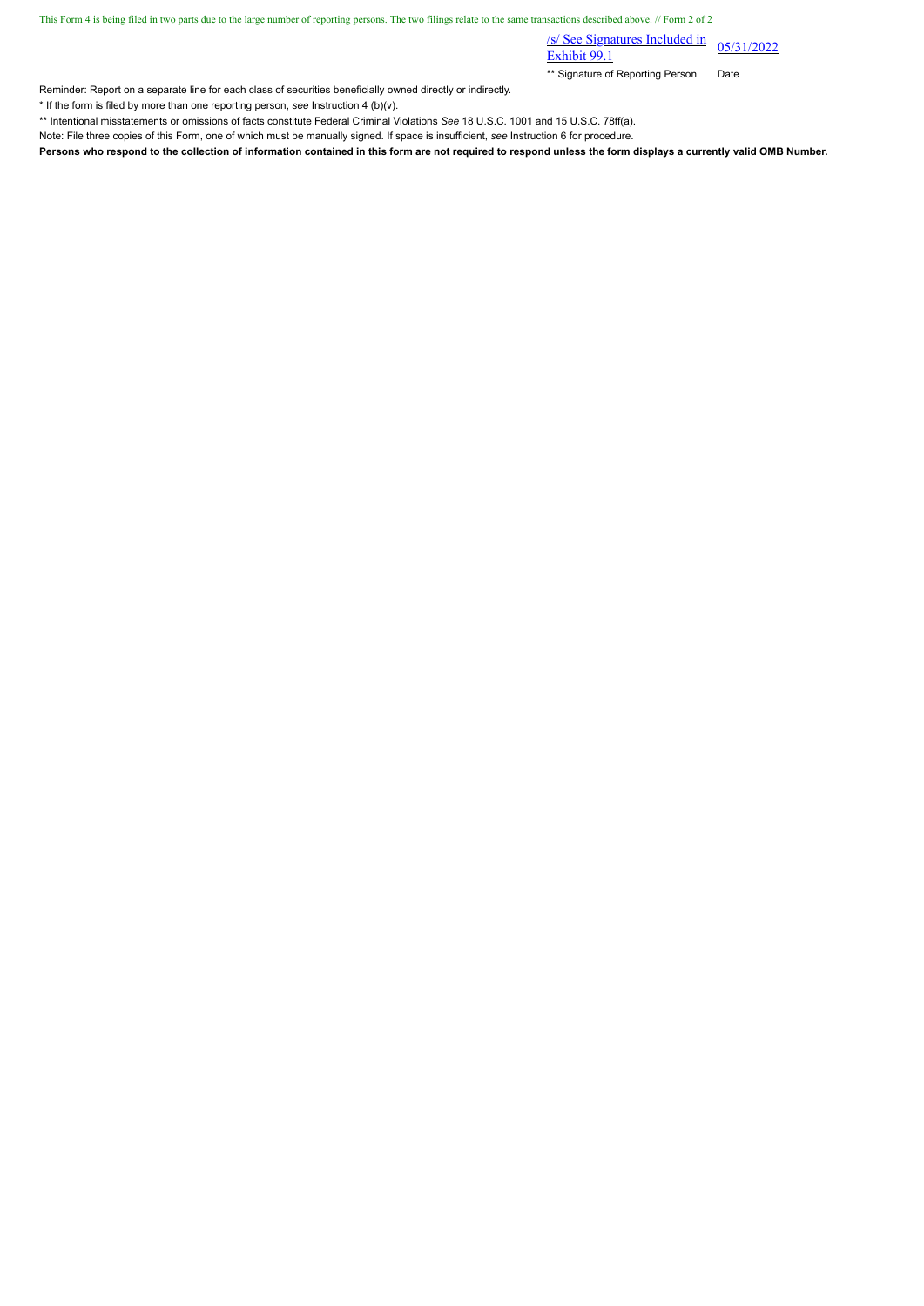This Form 4 is being filed in two parts due to the large number of reporting persons. The two filings relate to the same transactions described above. // Form 2 of 2

 $\frac{\text{S}}{\text{S}}$  See Signatures Included in 05/31/2022

\*\* Signature of Reporting Person Date

Reminder: Report on a separate line for each class of securities beneficially owned directly or indirectly.

\* If the form is filed by more than one reporting person, *see* Instruction 4 (b)(v).

\*\* Intentional misstatements or omissions of facts constitute Federal Criminal Violations *See* 18 U.S.C. 1001 and 15 U.S.C. 78ff(a).

Note: File three copies of this Form, one of which must be manually signed. If space is insufficient, *see* Instruction 6 for procedure.

**Persons who respond to the collection of information contained in this form are not required to respond unless the form displays a currently valid OMB Number.**